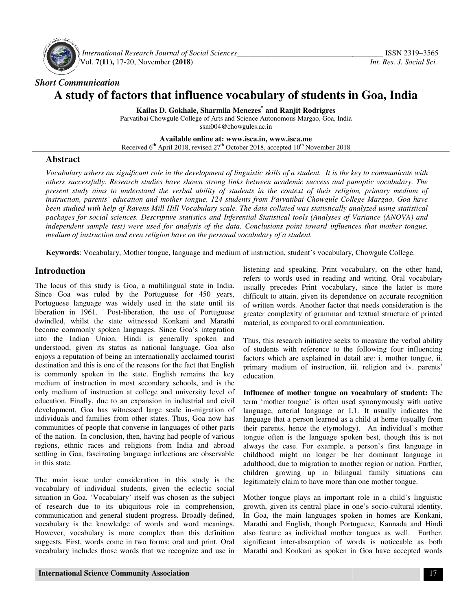

 *International Research Journal Journal of Social Sciences\_\_\_\_\_\_\_\_\_\_\_\_\_\_\_\_\_\_\_\_\_\_\_\_\_\_\_\_\_\_\_\_\_\_\_* Vol. **7(11),** 17-20, November **(2018) (2018)**

# *Short Communication*  **A study of factors that influence vocabulary of students in Goa, India factors**

**Kailas D. Gokhale, Sharmila Menezes \* and Ranjit Rodrigres** 

Parvatibai Chowgule College of Arts and Science Autonomous Margao, Goa, India ssm004@chowgules.ac.in

**Available Available online at: www.isca.in, www.isca.me**  Received  $6<sup>th</sup>$  April 2018, revised 27<sup>th</sup> October 2018, accepted 10<sup>th</sup> November 2018

# **Abstract**

Vocabulary ushers an significant role in the development of linguistic skills of a student. It is the key to communicate with *others successfully. Research studies have shown strong links between academic success and panoptic vocabulary. The present study aims to understand the verbal ability of students in the context of their religion, primary medium of instruction, parents' education and mother tongue. 124 students from Parvatibai Chowgule College Margao, Goa have been studied with help of Ravens Mill Hill Vocabulary scale. The data collated was statistically analyzed using statistical packages for social sciences. Descriptive statistics and Inferential Statistical tools (Analyses of Variance (ANOVA) and independent sample test) were used for analysis of medium of instruction and even religion have on the personal vocabulary of a student. ushers an significant role in the development of linguistic skills of a student. It is the key to communicate with issfully. Research studies have shown strong links between academic success and panoptic vocabulary. The ill Vocabulary scale. The data collated we*<br>*e statistics and Inferential Statistical tool*<br>· analysis of the data. Conclusions point

**Keywords**: Vocabulary, Mother tongue, language and medium of instruction, student's vocabulary, Chowgule College.

# **Introduction**

The locus of this study is Goa, a multilingual state in India. Since Goa was ruled by the Portuguese for 450 years, Portuguese language was widely used in the state until its liberation in 1961. Post-liberation, the use of Portuguese dwindled, whilst the state witnessed Konkani and Marathi become commonly spoken languages. Since Goa's integration into the Indian Union, Hindi is generally spoken and understood, given its status as national language. Goa also enjoys a reputation of being an internationally acclaimed tourist destination and this is one of the reasons for the fact that English is commonly spoken in the state. English remains the key medium of instruction in most secondary schools, and is the only medium of instruction at college and university level of education. Finally, due to an expansion in industrial and civil only medium of instruction at college and university level of education. Finally, due to an expansion in industrial and civil development, Goa has witnessed large scale in-migration of individuals and families from other states. Thus, Goa Goa now has communities of people that converse in languages of other parts of the nation. In conclusion, then, having had people of various regions, ethnic races and religions from India and abroad settling in Goa, fascinating language inflections are observable in this state. **Introduction**<br> **Introduction**<br>
The locus of this study is Goa, a multilingual state in India.<br>
Since Goa was ruled by the Portuguese for 450 years,<br>
Portuguese language was widely used in the state until its<br>
liberation i communities of people that converse in languages of other parts<br>of the nation. In conclusion, then, having had people of various<br>regions, ethnic races and religions from India and abroad<br>settling in Goa, fascinating langua **crion**<br> **general progress.** This vanish progress is that is usually precedes Print vocabulary on the other hand,<br>
or fits study is Goa, a multilingual state in India. usually precedes Print vocabulary, since the latter is

The main issue under consideration in this study is the vocabulary of individual students, given the eclectic social situation in Goa. 'Vocabulary' itself was chosen as the subject of research due to its ubiquitous role in comprehensi communication and general student progress. Broadly defined, vocabulary is the knowledge of words and word meanings. However, vocabulary is more complex than this definition suggests. First, words come in two forms: oral and print. Oral vocabulary includes those words that we recognize and use in The main issue under consideration in this study is the vocabulary of individual students, given the eclectic social situation in Goa. 'Vocabulary' itself was chosen as the subject of research due to its ubiquitous role in

refers to words used in reading and writing. Oral vocabulary usually precedes Print vocabulary, since the latter is more difficult to attain, given its dependence on accurate recognition of written words. Another factor that needs consideration is the greater complexity of grammar and textual structure of printed material, as compared to oral communication. listening and speaking. Print vocabulary, on the other hand, refers to words used in reading and writing. Oral vocabulary usually precedes Print vocabulary, since the latter is more difficult to attain, given its dependenc

Thus, this research initiative seeks to measure the verbal ability of students with reference to the following four influencing factors which are explained in detail are: i. mother tongue, ii. primary medium of instruction, iii. religion and iv. parents' education.

**Influence of mother tongue on vocabulary of student:** The term 'mother tongue' is often used synonymously with native language, arterial language or L1. It usually indicates the language that a person learned as a child at home (usually from their parents, hence the etymology). An individual's mother tongue often is the language spoken best, though this is not always the case. For example, a person's first language in childhood might no longer be her dominant language in adulthood, due to migration to another region or nation. Further, children growing up in bilingual family situations can legitimately claim to have more than one mother tongue. term 'mother tongue' is often used synonymously with native language, arterial language or L1. It usually indicates the language that a person learned as a child at home (usually from their parents, hence the etymology). A

Mother tongue plays an important role in a child's linguistic growth, given its central place in one's In Goa, the main languages spoken in homes are Konkani, Marathi and English, though Portuguese, Kannada and Hindi also feature as individual mother tongues as well. Further, significant inter-absorption of words is noticeable as both Marathi and Konkani as spoken in Goa have accepted words main languages spoken in homes are Konkani, English, though Portuguese, Kannada and Hindi<br>as individual mother tongues as well. Further,<br>tter-absorption of words is noticeable as both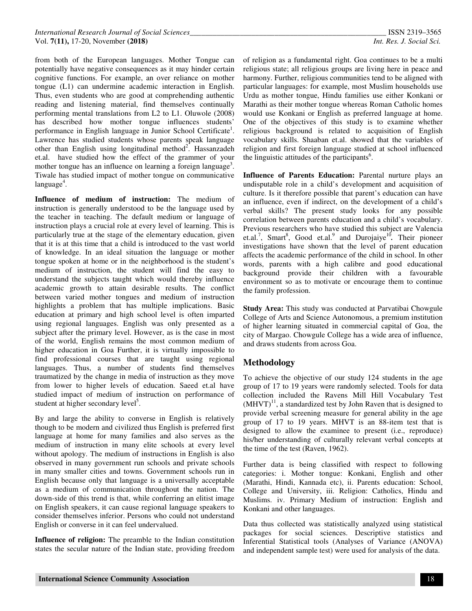from both of the European languages. Mother Tongue can potentially have negative consequences as it may hinder certain cognitive functions. For example, an over reliance on mother tongue (L1) can undermine academic interaction in English. Thus, even students who are good at comprehending authentic reading and listening material, find themselves continually performing mental translations from L2 to L1. Oluwole (2008) has described how mother tongue influences students' performance in English language in Junior School Certificate<sup>1</sup>. Lawrence has studied students whose parents speak language other than English using longitudinal method<sup>2</sup>. Hassanzadeh et.al. have studied how the effect of the grammer of your mother tongue has an influence on learning a foreign language<sup>3</sup>. Tiwale has studied impact of mother tongue on communicative language<sup>4</sup>.

**Influence of medium of instruction:** The medium of instruction is generally understood to be the language used by the teacher in teaching. The default medium or language of instruction plays a crucial role at every level of learning. This is particularly true at the stage of the elementary education, given that it is at this time that a child is introduced to the vast world of knowledge. In an ideal situation the language or mother tongue spoken at home or in the neighborhood is the student's medium of instruction, the student will find the easy to understand the subjects taught which would thereby influence academic growth to attain desirable results. The conflict between varied mother tongues and medium of instruction highlights a problem that has multiple implications. Basic education at primary and high school level is often imparted using regional languages. English was only presented as a subject after the primary level. However, as is the case in most of the world, English remains the most common medium of higher education in Goa Further, it is virtually impossible to find professional courses that are taught using regional languages. Thus, a number of students find themselves traumatized by the change in media of instruction as they move from lower to higher levels of education. Saeed et.al have studied impact of medium of instruction on performance of student at higher secondary level<sup>5</sup>.

By and large the ability to converse in English is relatively though to be modern and civilized thus English is preferred first language at home for many families and also serves as the medium of instruction in many elite schools at every level without apology. The medium of instructions in English is also observed in many government run schools and private schools in many smaller cities and towns. Government schools run in English because only that language is a universally acceptable as a medium of communication throughout the nation. The down-side of this trend is that, while conferring an elitist image on English speakers, it can cause regional language speakers to consider themselves inferior. Persons who could not understand English or converse in it can feel undervalued.

**Influence of religion:** The preamble to the Indian constitution states the secular nature of the Indian state, providing freedom

of religion as a fundamental right. Goa continues to be a multi religious state; all religious groups are living here in peace and harmony. Further, religious communities tend to be aligned with particular languages: for example, most Muslim households use Urdu as mother tongue, Hindu families use either Konkani or Marathi as their mother tongue whereas Roman Catholic homes would use Konkani or English as preferred language at home. One of the objectives of this study is to examine whether religious background is related to acquisition of English vocabulary skills. Shaaban et.al. showed that the variables of religion and first foreign language studied at school influenced the linguistic attitudes of the participants<sup>6</sup>.

**Influence of Parents Education:** Parental nurture plays an undisputable role in a child's development and acquisition of culture. Is it therefore possible that parent's education can have an influence, even if indirect, on the development of a child's verbal skills? The present study looks for any possible correlation between parents education and a child's vocabulary. Previous researchers who have studied this subject are Valencia et.al.<sup>7</sup>, Smart<sup>8</sup>, Good et.al.<sup>9</sup> and Durojaiye<sup>10</sup>. Their pioneer investigations have shown that the level of parent education affects the academic performance of the child in school. In other words, parents with a high calibre and good educational background provide their children with a favourable environment so as to motivate or encourage them to continue the family profession.

**Study Area:** This study was conducted at Parvatibai Chowgule College of Arts and Science Autonomous, a premium institution of higher learning situated in commercial capital of Goa, the city of Margao. Chowgule College has a wide area of influence, and draws students from across Goa.

## **Methodology**

To achieve the objective of our study 124 students in the age group of 17 to 19 years were randomly selected. Tools for data collection included the Ravens Mill Hill Vocabulary Test  $(MHVT)^{11}$ , a standardized test by John Raven that is designed to provide verbal screening measure for general ability in the age group of 17 to 19 years. MHVT is an 88-item test that is designed to allow the examinee to present (i.e., reproduce) his/her understanding of culturally relevant verbal concepts at the time of the test (Raven, 1962).

Further data is being classified with respect to following categories: i. Mother tongue: Konkani, English and other (Marathi, Hindi, Kannada etc), ii. Parents education: School, College and University, iii. Religion: Catholics, Hindu and Muslims. iv. Primary Medium of instruction: English and Konkani and other languages.

Data thus collected was statistically analyzed using statistical packages for social sciences. Descriptive statistics and Inferential Statistical tools (Analyses of Variance (ANOVA) and independent sample test) were used for analysis of the data.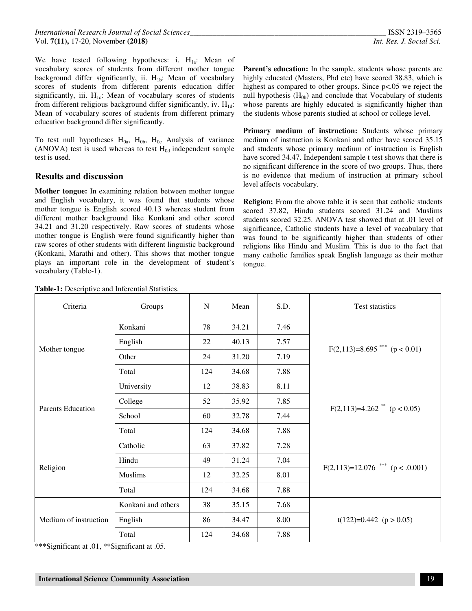We have tested following hypotheses: i.  $H_{1a}$ : Mean of vocabulary scores of students from different mother tongue background differ significantly, ii.  $H_{1b}$ : Mean of vocabulary scores of students from different parents education differ significantly, iii.  $H_{1c}$ : Mean of vocabulary scores of students from different religious background differ significantly, iv.  $H_{1d}$ : Mean of vocabulary scores of students from different primary education background differ significantly.

To test null hypotheses  $H_{0a}$ ,  $H_{0b}$ ,  $H_{0c}$  Analysis of variance (ANOVA) test is used whereas to test  $H_{0d}$  independent sample test is used.

#### **Results and discussion**

**Mother tongue:** In examining relation between mother tongue and English vocabulary, it was found that students whose mother tongue is English scored 40.13 whereas student from different mother background like Konkani and other scored 34.21 and 31.20 respectively. Raw scores of students whose mother tongue is English were found significantly higher than raw scores of other students with different linguistic background (Konkani, Marathi and other). This shows that mother tongue plays an important role in the development of student's vocabulary (Table-1).

**Parent's education:** In the sample, students whose parents are highly educated (Masters, Phd etc) have scored 38.83, which is highest as compared to other groups. Since  $p<0.05$  we reject the null hypothesis  $(H<sub>0b</sub>)$  and conclude that Vocabulary of students whose parents are highly educated is significantly higher than the students whose parents studied at school or college level.

Primary medium of instruction: Students whose primary medium of instruction is Konkani and other have scored 35.15 and students whose primary medium of instruction is English have scored 34.47. Independent sample t test shows that there is no significant difference in the score of two groups. Thus, there is no evidence that medium of instruction at primary school level affects vocabulary.

**Religion:** From the above table it is seen that catholic students scored 37.82, Hindu students scored 31.24 and Muslims students scored 32.25. ANOVA test showed that at .01 level of significance, Catholic students have a level of vocabulary that was found to be significantly higher than students of other religions like Hindu and Muslim. This is due to the fact that many catholic families speak English language as their mother tongue.

| Criteria                 | Groups             | N   | Mean  | S.D. | <b>Test statistics</b>                     |
|--------------------------|--------------------|-----|-------|------|--------------------------------------------|
| Mother tongue            | Konkani            | 78  | 34.21 | 7.46 | $F(2,113)=8.695$ <sup>***</sup> (p < 0.01) |
|                          | English            | 22  | 40.13 | 7.57 |                                            |
|                          | Other              | 24  | 31.20 | 7.19 |                                            |
|                          | Total              | 124 | 34.68 | 7.88 |                                            |
| <b>Parents Education</b> | University         | 12  | 38.83 | 8.11 | $F(2,113)=4.262$ <sup>**</sup> (p < 0.05)  |
|                          | College            | 52  | 35.92 | 7.85 |                                            |
|                          | School             | 60  | 32.78 | 7.44 |                                            |
|                          | Total              | 124 | 34.68 | 7.88 |                                            |
| Religion                 | Catholic           | 63  | 37.82 | 7.28 | $F(2,113)=12.076$ *** (p < .0.001)         |
|                          | Hindu              | 49  | 31.24 | 7.04 |                                            |
|                          | Muslims            | 12  | 32.25 | 8.01 |                                            |
|                          | Total              | 124 | 34.68 | 7.88 |                                            |
| Medium of instruction    | Konkani and others | 38  | 35.15 | 7.68 | $t(122)=0.442$ (p > 0.05)                  |
|                          | English            | 86  | 34.47 | 8.00 |                                            |
|                          | Total              | 124 | 34.68 | 7.88 |                                            |

**Table-1:** Descriptive and Inferential Statistics.

\*\*\*Significant at .01, \*\*Significant at .05.